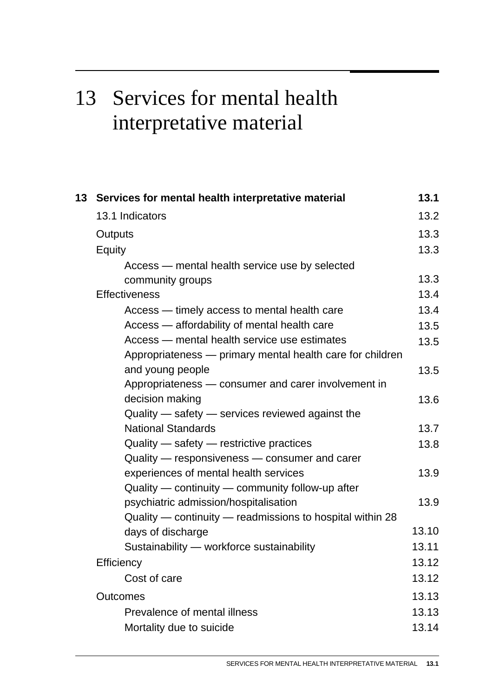# 13 Services for mental health interpretative material

| 13 | Services for mental health interpretative material        | 13.1  |
|----|-----------------------------------------------------------|-------|
|    | 13.1 Indicators                                           | 13.2  |
|    | Outputs                                                   | 13.3  |
|    | Equity                                                    | 13.3  |
|    | Access — mental health service use by selected            |       |
|    | community groups                                          | 13.3  |
|    | <b>Effectiveness</b>                                      | 13.4  |
|    | Access — timely access to mental health care              | 13.4  |
|    | Access — affordability of mental health care              | 13.5  |
|    | Access — mental health service use estimates              | 13.5  |
|    | Appropriateness - primary mental health care for children |       |
|    | and young people                                          | 13.5  |
|    | Appropriateness - consumer and carer involvement in       |       |
|    | decision making                                           | 13.6  |
|    | Quality — safety — services reviewed against the          |       |
|    | <b>National Standards</b>                                 | 13.7  |
|    | $Quality - safety - restrictive practices$                | 13.8  |
|    | Quality - responsiveness - consumer and carer             |       |
|    | experiences of mental health services                     | 13.9  |
|    | Quality — continuity — community follow-up after          |       |
|    | psychiatric admission/hospitalisation                     | 13.9  |
|    | Quality — continuity — readmissions to hospital within 28 |       |
|    | days of discharge                                         | 13.10 |
|    | Sustainability - workforce sustainability                 | 13.11 |
|    | <b>Efficiency</b>                                         | 13.12 |
|    | Cost of care                                              | 13.12 |
|    | <b>Outcomes</b>                                           | 13.13 |
|    | Prevalence of mental illness                              | 13.13 |
|    | Mortality due to suicide                                  | 13.14 |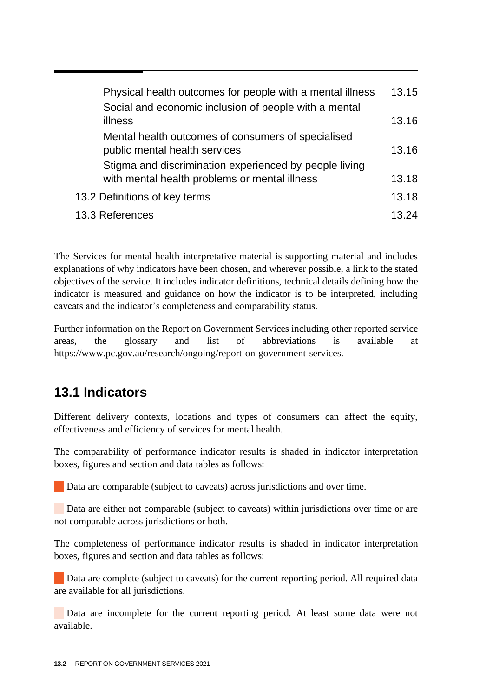<span id="page-1-0"></span>

| Physical health outcomes for people with a mental illness                                               | 13.15 |
|---------------------------------------------------------------------------------------------------------|-------|
| Social and economic inclusion of people with a mental                                                   |       |
| illness                                                                                                 | 13.16 |
| Mental health outcomes of consumers of specialised<br>public mental health services                     | 13.16 |
| Stigma and discrimination experienced by people living<br>with mental health problems or mental illness | 13.18 |
| 13.2 Definitions of key terms                                                                           | 13.18 |
| 13.3 References                                                                                         | 13.24 |

The Services for mental health interpretative material is supporting material and includes explanations of why indicators have been chosen, and wherever possible, a link to the stated objectives of the service. It includes indicator definitions, technical details defining how the indicator is measured and guidance on how the indicator is to be interpreted, including caveats and the indicator's completeness and comparability status.

Further information on the Report on Government Services including other reported service areas, the glossary and list of abbreviations is available at https://www.pc.gov.au/research/ongoing/report-on-government-services.

# **13.1 Indicators**

Different delivery contexts, locations and types of consumers can affect the equity, effectiveness and efficiency of services for mental health.

The comparability of performance indicator results is shaded in indicator interpretation boxes, figures and section and data tables as follows:

Data are comparable (subject to caveats) across jurisdictions and over time.

 Data are either not comparable (subject to caveats) within jurisdictions over time or are not comparable across jurisdictions or both.

The completeness of performance indicator results is shaded in indicator interpretation boxes, figures and section and data tables as follows:

Data are complete (subject to caveats) for the current reporting period. All required data are available for all jurisdictions.

 Data are incomplete for the current reporting period. At least some data were not available.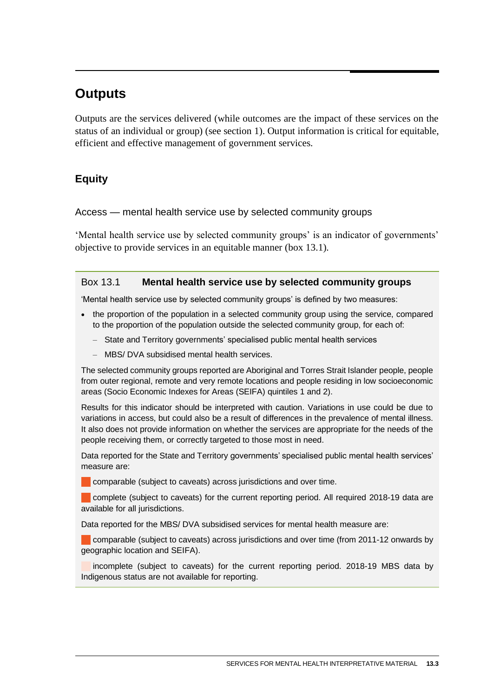# <span id="page-2-0"></span>**Outputs**

Outputs are the services delivered (while outcomes are the impact of these services on the status of an individual or group) (see section 1). Output information is critical for equitable, efficient and effective management of government services.

# **Equity**

# Access — mental health service use by selected community groups

'Mental health service use by selected community groups' is an indicator of governments' objective to provide services in an equitable manner (box 13.1).

# Box 13.1 **Mental health service use by selected community groups**

'Mental health service use by selected community groups' is defined by two measures:

- the proportion of the population in a selected community group using the service, compared to the proportion of the population outside the selected community group, for each of:
	- State and Territory governments' specialised public mental health services
	- MBS/ DVA subsidised mental health services.

The selected community groups reported are Aboriginal and Torres Strait Islander people, people from outer regional, remote and very remote locations and people residing in low socioeconomic areas (Socio Economic Indexes for Areas (SEIFA) quintiles 1 and 2).

Results for this indicator should be interpreted with caution. Variations in use could be due to variations in access, but could also be a result of differences in the prevalence of mental illness. It also does not provide information on whether the services are appropriate for the needs of the people receiving them, or correctly targeted to those most in need.

Data reported for the State and Territory governments' specialised public mental health services' measure are:

**Comparable (subject to caveats) across jurisdictions and over time.** 

complete (subject to caveats) for the current reporting period. All required 2018-19 data are available for all jurisdictions.

Data reported for the MBS/ DVA subsidised services for mental health measure are:

comparable (subject to caveats) across jurisdictions and over time (from 2011-12 onwards by geographic location and SEIFA).

incomplete (subject to caveats) for the current reporting period. 2018-19 MBS data by Indigenous status are not available for reporting.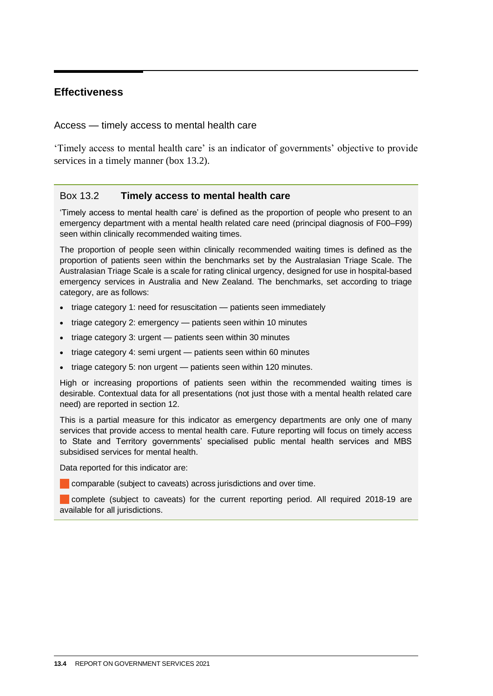# <span id="page-3-0"></span>**Effectiveness**

Access — timely access to mental health care

'Timely access to mental health care' is an indicator of governments' objective to provide services in a timely manner (box 13.2).

#### Box 13.2 **Timely access to mental health care**

'Timely access to mental health care' is defined as the proportion of people who present to an emergency department with a mental health related care need (principal diagnosis of F00–F99) seen within clinically recommended waiting times.

The proportion of people seen within clinically recommended waiting times is defined as the proportion of patients seen within the benchmarks set by the Australasian Triage Scale. The Australasian Triage Scale is a scale for rating clinical urgency, designed for use in hospital-based emergency services in Australia and New Zealand. The benchmarks, set according to triage category, are as follows:

- triage category 1: need for resuscitation patients seen immediately
- triage category 2: emergency patients seen within 10 minutes
- triage category 3: urgent patients seen within 30 minutes
- triage category 4: semi urgent patients seen within 60 minutes
- triage category 5: non urgent patients seen within 120 minutes.

High or increasing proportions of patients seen within the recommended waiting times is desirable. Contextual data for all presentations (not just those with a mental health related care need) are reported in section 12.

This is a partial measure for this indicator as emergency departments are only one of many services that provide access to mental health care. Future reporting will focus on timely access to State and Territory governments' specialised public mental health services and MBS subsidised services for mental health.

Data reported for this indicator are:

comparable (subject to caveats) across jurisdictions and over time.

complete (subject to caveats) for the current reporting period. All required 2018-19 are available for all jurisdictions.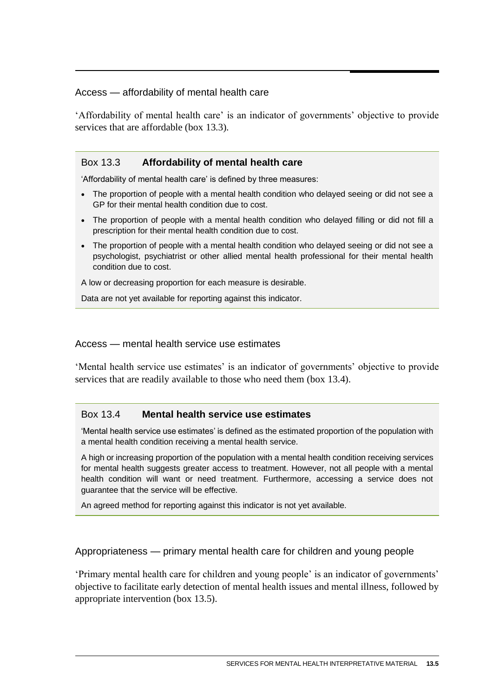# <span id="page-4-0"></span>Access — affordability of mental health care

'Affordability of mental health care' is an indicator of governments' objective to provide services that are affordable (box 13.3).

# Box 13.3 **Affordability of mental health care**

'Affordability of mental health care' is defined by three measures:

- The proportion of people with a mental health condition who delayed seeing or did not see a GP for their mental health condition due to cost.
- The proportion of people with a mental health condition who delayed filling or did not fill a prescription for their mental health condition due to cost.
- The proportion of people with a mental health condition who delayed seeing or did not see a psychologist, psychiatrist or other allied mental health professional for their mental health condition due to cost.

A low or decreasing proportion for each measure is desirable.

Data are not yet available for reporting against this indicator.

#### Access — mental health service use estimates

'Mental health service use estimates' is an indicator of governments' objective to provide services that are readily available to those who need them (box 13.4).

#### Box 13.4 **Mental health service use estimates**

'Mental health service use estimates' is defined as the estimated proportion of the population with a mental health condition receiving a mental health service.

A high or increasing proportion of the population with a mental health condition receiving services for mental health suggests greater access to treatment. However, not all people with a mental health condition will want or need treatment. Furthermore, accessing a service does not guarantee that the service will be effective.

An agreed method for reporting against this indicator is not yet available.

Appropriateness — primary mental health care for children and young people

'Primary mental health care for children and young people' is an indicator of governments' objective to facilitate early detection of mental health issues and mental illness, followed by appropriate intervention (box 13.5).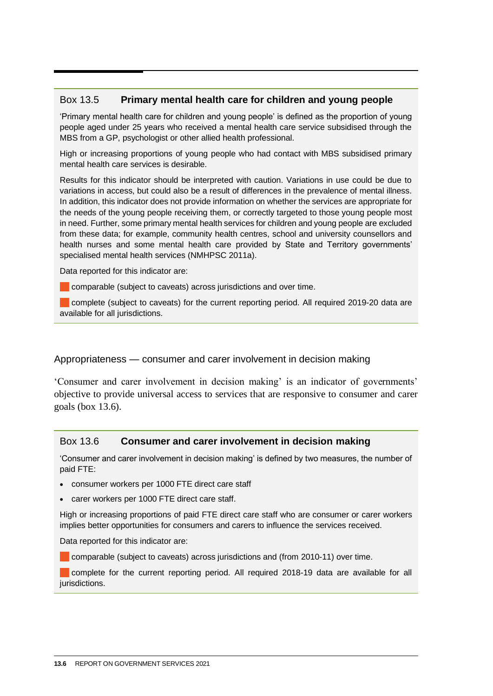# <span id="page-5-0"></span>Box 13.5 **Primary mental health care for children and young people**

'Primary mental health care for children and young people' is defined as the proportion of young people aged under 25 years who received a mental health care service subsidised through the MBS from a GP, psychologist or other allied health professional.

High or increasing proportions of young people who had contact with MBS subsidised primary mental health care services is desirable.

Results for this indicator should be interpreted with caution. Variations in use could be due to variations in access, but could also be a result of differences in the prevalence of mental illness. In addition, this indicator does not provide information on whether the services are appropriate for the needs of the young people receiving them, or correctly targeted to those young people most in need. Further, some primary mental health services for children and young people are excluded from these data; for example, community health centres, school and university counsellors and health nurses and some mental health care provided by State and Territory governments' specialised mental health services (NMHPSC 2011a).

Data reported for this indicator are:

comparable (subject to caveats) across jurisdictions and over time.

complete (subject to caveats) for the current reporting period. All required 2019-20 data are available for all jurisdictions.

#### Appropriateness — consumer and carer involvement in decision making

'Consumer and carer involvement in decision making' is an indicator of governments' objective to provide universal access to services that are responsive to consumer and carer goals (box 13.6).

# Box 13.6 **Consumer and carer involvement in decision making**

'Consumer and carer involvement in decision making' is defined by two measures, the number of paid FTE:

- consumer workers per 1000 FTE direct care staff
- carer workers per 1000 FTE direct care staff.

High or increasing proportions of paid FTE direct care staff who are consumer or carer workers implies better opportunities for consumers and carers to influence the services received.

Data reported for this indicator are:

comparable (subject to caveats) across jurisdictions and (from 2010-11) over time.

complete for the current reporting period. All required 2018-19 data are available for all jurisdictions.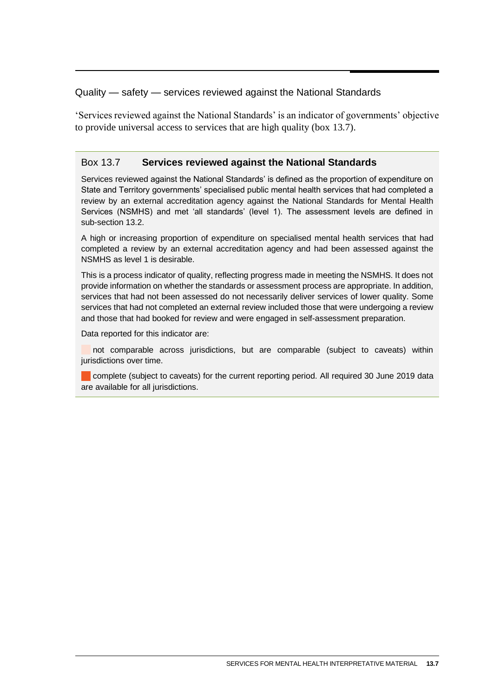# <span id="page-6-0"></span>Quality — safety — services reviewed against the National Standards

'Services reviewed against the National Standards' is an indicator of governments' objective to provide universal access to services that are high quality (box 13.7).

# Box 13.7 **Services reviewed against the National Standards**

Services reviewed against the National Standards' is defined as the proportion of expenditure on State and Territory governments' specialised public mental health services that had completed a review by an external accreditation agency against the National Standards for Mental Health Services (NSMHS) and met 'all standards' (level 1). The assessment levels are defined in sub-section 13.2.

A high or increasing proportion of expenditure on specialised mental health services that had completed a review by an external accreditation agency and had been assessed against the NSMHS as level 1 is desirable.

This is a process indicator of quality, reflecting progress made in meeting the NSMHS. It does not provide information on whether the standards or assessment process are appropriate. In addition, services that had not been assessed do not necessarily deliver services of lower quality. Some services that had not completed an external review included those that were undergoing a review and those that had booked for review and were engaged in self-assessment preparation.

Data reported for this indicator are:

not comparable across jurisdictions, but are comparable (subject to caveats) within jurisdictions over time.

complete (subject to caveats) for the current reporting period. All required 30 June 2019 data are available for all jurisdictions.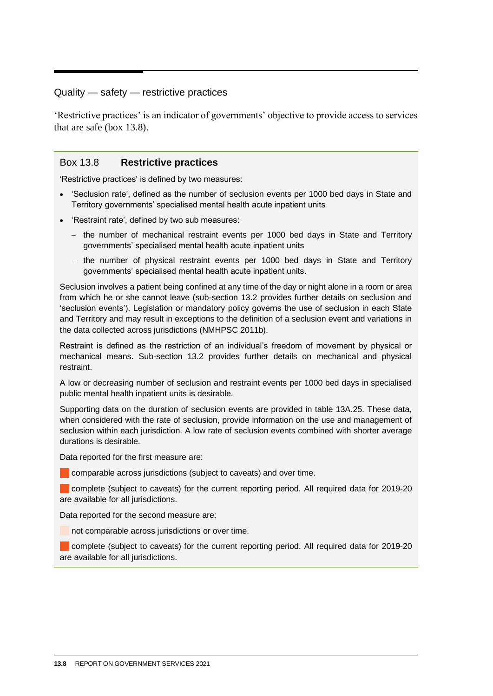# <span id="page-7-0"></span>Quality — safety — restrictive practices

'Restrictive practices' is an indicator of governments' objective to provide access to services that are safe (box 13.8).

#### Box 13.8 **Restrictive practices**

'Restrictive practices' is defined by two measures:

- 'Seclusion rate', defined as the number of seclusion events per 1000 bed days in State and Territory governments' specialised mental health acute inpatient units
- 'Restraint rate', defined by two sub measures:
	- the number of mechanical restraint events per 1000 bed days in State and Territory governments' specialised mental health acute inpatient units
	- the number of physical restraint events per 1000 bed days in State and Territory governments' specialised mental health acute inpatient units.

Seclusion involves a patient being confined at any time of the day or night alone in a room or area from which he or she cannot leave (sub-section 13.2 provides further details on seclusion and 'seclusion events'). Legislation or mandatory policy governs the use of seclusion in each State and Territory and may result in exceptions to the definition of a seclusion event and variations in the data collected across jurisdictions (NMHPSC 2011b).

Restraint is defined as the restriction of an individual's freedom of movement by physical or mechanical means. Sub-section 13.2 provides further details on mechanical and physical restraint.

A low or decreasing number of seclusion and restraint events per 1000 bed days in specialised public mental health inpatient units is desirable.

Supporting data on the duration of seclusion events are provided in table 13A.25. These data, when considered with the rate of seclusion, provide information on the use and management of seclusion within each jurisdiction. A low rate of seclusion events combined with shorter average durations is desirable.

Data reported for the first measure are:

comparable across jurisdictions (subject to caveats) and over time.

complete (subject to caveats) for the current reporting period. All required data for 2019-20 are available for all jurisdictions.

Data reported for the second measure are:

not comparable across jurisdictions or over time.

**Complete (subject to caveats) for the current reporting period. All required data for 2019-20** are available for all jurisdictions.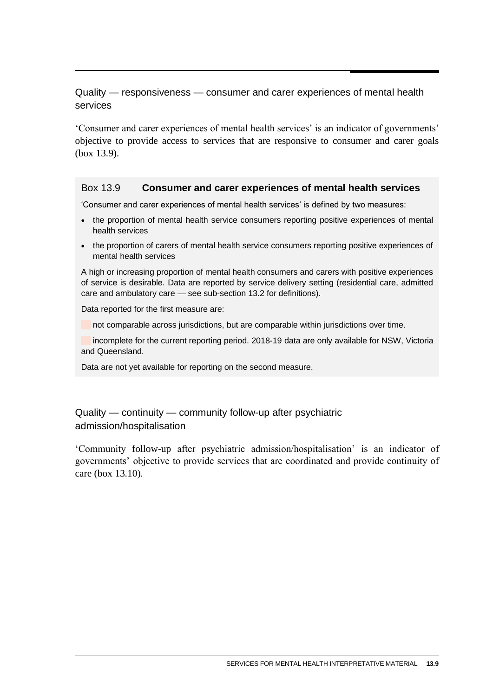# <span id="page-8-0"></span>Quality — responsiveness — consumer and carer experiences of mental health services

'Consumer and carer experiences of mental health services' is an indicator of governments' objective to provide access to services that are responsive to consumer and carer goals (box 13.9).

#### Box 13.9 **Consumer and carer experiences of mental health services**

'Consumer and carer experiences of mental health services' is defined by two measures:

- the proportion of mental health service consumers reporting positive experiences of mental health services
- the proportion of carers of mental health service consumers reporting positive experiences of mental health services

A high or increasing proportion of mental health consumers and carers with positive experiences of service is desirable. Data are reported by service delivery setting (residential care, admitted care and ambulatory care — see sub-section 13.2 for definitions).

Data reported for the first measure are:

not comparable across jurisdictions, but are comparable within jurisdictions over time.

incomplete for the current reporting period. 2018-19 data are only available for NSW, Victoria and Queensland.

Data are not yet available for reporting on the second measure.

# Quality — continuity — community follow-up after psychiatric admission/hospitalisation

'Community follow-up after psychiatric admission/hospitalisation' is an indicator of governments' objective to provide services that are coordinated and provide continuity of care (box 13.10).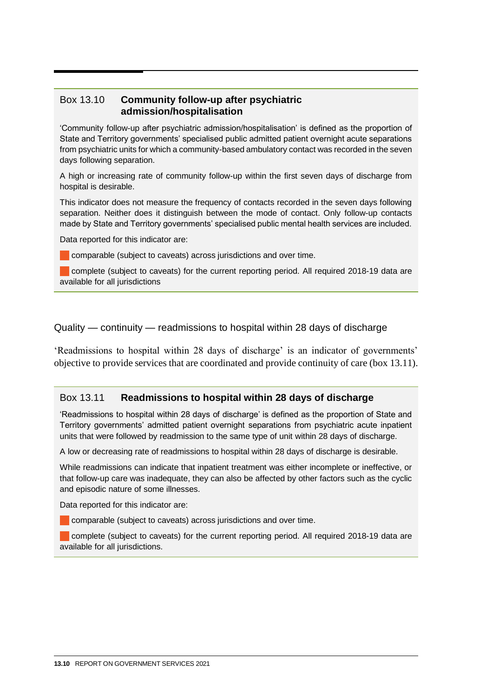# <span id="page-9-0"></span>Box 13.10 **Community follow-up after psychiatric admission/hospitalisation**

'Community follow-up after psychiatric admission/hospitalisation' is defined as the proportion of State and Territory governments' specialised public admitted patient overnight acute separations from psychiatric units for which a community-based ambulatory contact was recorded in the seven days following separation.

A high or increasing rate of community follow-up within the first seven days of discharge from hospital is desirable.

This indicator does not measure the frequency of contacts recorded in the seven days following separation. Neither does it distinguish between the mode of contact. Only follow-up contacts made by State and Territory governments' specialised public mental health services are included.

Data reported for this indicator are:

comparable (subject to caveats) across jurisdictions and over time.

complete (subject to caveats) for the current reporting period. All required 2018-19 data are available for all jurisdictions

#### Quality — continuity — readmissions to hospital within 28 days of discharge

'Readmissions to hospital within 28 days of discharge' is an indicator of governments' objective to provide services that are coordinated and provide continuity of care (box 13.11).

#### Box 13.11 **Readmissions to hospital within 28 days of discharge**

'Readmissions to hospital within 28 days of discharge' is defined as the proportion of State and Territory governments' admitted patient overnight separations from psychiatric acute inpatient units that were followed by readmission to the same type of unit within 28 days of discharge.

A low or decreasing rate of readmissions to hospital within 28 days of discharge is desirable.

While readmissions can indicate that inpatient treatment was either incomplete or ineffective, or that follow-up care was inadequate, they can also be affected by other factors such as the cyclic and episodic nature of some illnesses.

Data reported for this indicator are:

**Comparable (subject to caveats) across jurisdictions and over time.** 

complete (subject to caveats) for the current reporting period. All required 2018-19 data are available for all jurisdictions.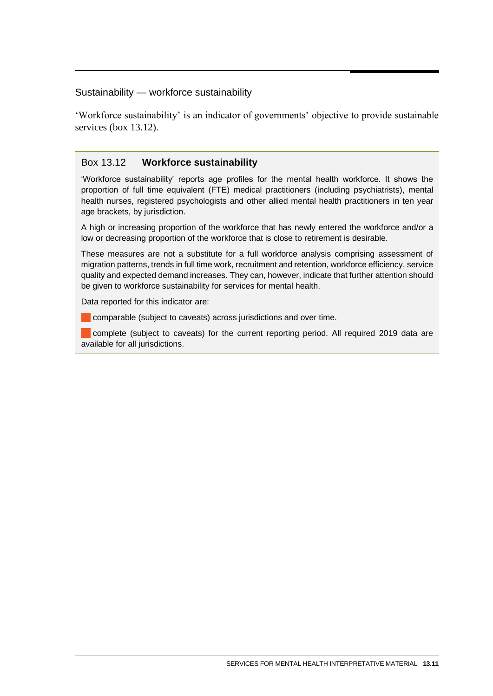#### <span id="page-10-0"></span>Sustainability — workforce sustainability

'Workforce sustainability' is an indicator of governments' objective to provide sustainable services (box 13.12).

# Box 13.12 **Workforce sustainability**

'Workforce sustainability' reports age profiles for the mental health workforce. It shows the proportion of full time equivalent (FTE) medical practitioners (including psychiatrists), mental health nurses, registered psychologists and other allied mental health practitioners in ten year age brackets, by jurisdiction.

A high or increasing proportion of the workforce that has newly entered the workforce and/or a low or decreasing proportion of the workforce that is close to retirement is desirable.

These measures are not a substitute for a full workforce analysis comprising assessment of migration patterns, trends in full time work, recruitment and retention, workforce efficiency, service quality and expected demand increases. They can, however, indicate that further attention should be given to workforce sustainability for services for mental health.

Data reported for this indicator are:

comparable (subject to caveats) across jurisdictions and over time.

complete (subject to caveats) for the current reporting period. All required 2019 data are available for all jurisdictions.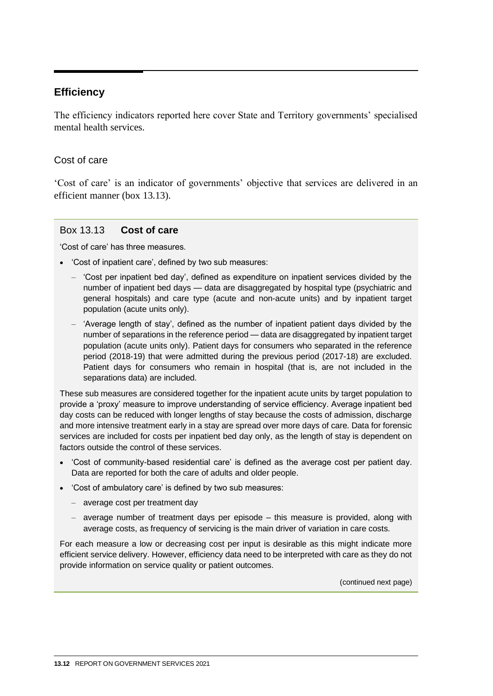# <span id="page-11-0"></span>**Efficiency**

The efficiency indicators reported here cover State and Territory governments' specialised mental health services.

# Cost of care

'Cost of care' is an indicator of governments' objective that services are delivered in an efficient manner (box 13.13).

# Box 13.13 **Cost of care**

'Cost of care' has three measures.

- 'Cost of inpatient care', defined by two sub measures:
	- 'Cost per inpatient bed day', defined as expenditure on inpatient services divided by the number of inpatient bed days — data are disaggregated by hospital type (psychiatric and general hospitals) and care type (acute and non-acute units) and by inpatient target population (acute units only).
	- 'Average length of stay', defined as the number of inpatient patient days divided by the number of separations in the reference period — data are disaggregated by inpatient target population (acute units only). Patient days for consumers who separated in the reference period (2018-19) that were admitted during the previous period (2017-18) are excluded. Patient days for consumers who remain in hospital (that is, are not included in the separations data) are included.

These sub measures are considered together for the inpatient acute units by target population to provide a 'proxy' measure to improve understanding of service efficiency. Average inpatient bed day costs can be reduced with longer lengths of stay because the costs of admission, discharge and more intensive treatment early in a stay are spread over more days of care. Data for forensic services are included for costs per inpatient bed day only, as the length of stay is dependent on factors outside the control of these services.

- 'Cost of community-based residential care' is defined as the average cost per patient day. Data are reported for both the care of adults and older people.
- 'Cost of ambulatory care' is defined by two sub measures:
	- average cost per treatment day
	- average number of treatment days per episode this measure is provided, along with average costs, as frequency of servicing is the main driver of variation in care costs.

For each measure a low or decreasing cost per input is desirable as this might indicate more efficient service delivery. However, efficiency data need to be interpreted with care as they do not provide information on service quality or patient outcomes.

(continued next page)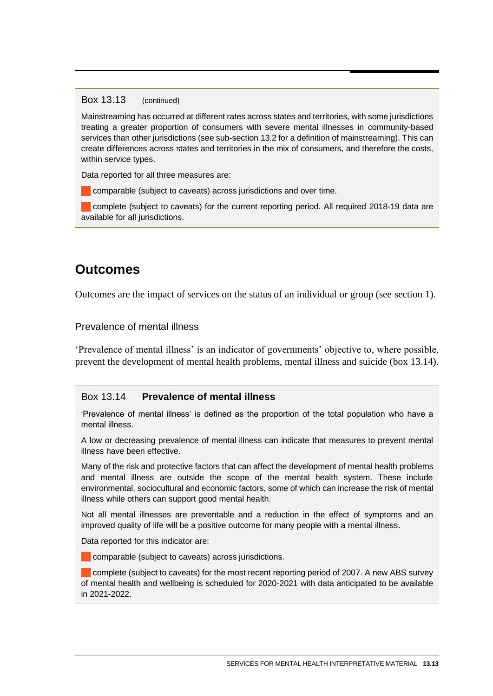#### <span id="page-12-0"></span>Box 13.13 (continued)

Mainstreaming has occurred at different rates across states and territories, with some jurisdictions treating a greater proportion of consumers with severe mental illnesses in community-based services than other jurisdictions (see sub-section 13.2 for a definition of mainstreaming). This can create differences across states and territories in the mix of consumers, and therefore the costs, within service types.

Data reported for all three measures are:

comparable (subject to caveats) across jurisdictions and over time.

complete (subject to caveats) for the current reporting period. All required 2018-19 data are available for all jurisdictions.

# **Outcomes**

Outcomes are the impact of services on the status of an individual or group (see section 1).

#### Prevalence of mental illness

'Prevalence of mental illness' is an indicator of governments' objective to, where possible, prevent the development of mental health problems, mental illness and suicide (box 13.14).

#### Box 13.14 **Prevalence of mental illness**

'Prevalence of mental illness' is defined as the proportion of the total population who have a mental illness.

A low or decreasing prevalence of mental illness can indicate that measures to prevent mental illness have been effective.

Many of the risk and protective factors that can affect the development of mental health problems and mental illness are outside the scope of the mental health system. These include environmental, sociocultural and economic factors, some of which can increase the risk of mental illness while others can support good mental health.

Not all mental illnesses are preventable and a reduction in the effect of symptoms and an improved quality of life will be a positive outcome for many people with a mental illness.

Data reported for this indicator are:

comparable (subject to caveats) across jurisdictions.

 complete (subject to caveats) for the most recent reporting period of 2007. A new ABS survey of mental health and wellbeing is scheduled for 2020-2021 with data anticipated to be available in 2021-2022.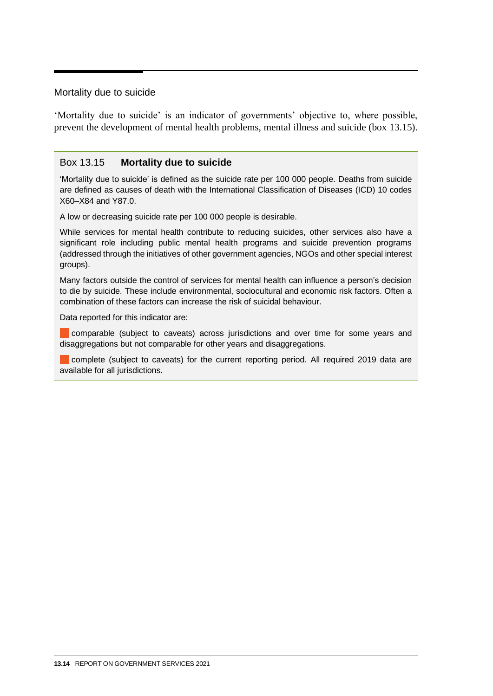#### <span id="page-13-0"></span>Mortality due to suicide

'Mortality due to suicide' is an indicator of governments' objective to, where possible, prevent the development of mental health problems, mental illness and suicide (box 13.15).

#### Box 13.15 **Mortality due to suicide**

'Mortality due to suicide' is defined as the suicide rate per 100 000 people. Deaths from suicide are defined as causes of death with the International Classification of Diseases (ICD) 10 codes X60–X84 and Y87.0.

A low or decreasing suicide rate per 100 000 people is desirable.

While services for mental health contribute to reducing suicides, other services also have a significant role including public mental health programs and suicide prevention programs (addressed through the initiatives of other government agencies, NGOs and other special interest groups).

Many factors outside the control of services for mental health can influence a person's decision to die by suicide. These include environmental, sociocultural and economic risk factors. Often a combination of these factors can increase the risk of suicidal behaviour.

Data reported for this indicator are:

comparable (subject to caveats) across jurisdictions and over time for some years and disaggregations but not comparable for other years and disaggregations.

complete (subject to caveats) for the current reporting period. All required 2019 data are available for all jurisdictions.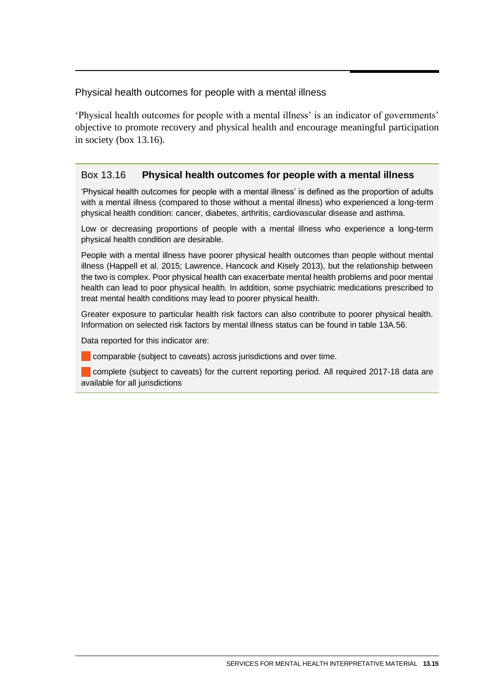<span id="page-14-0"></span>Physical health outcomes for people with a mental illness

'Physical health outcomes for people with a mental illness' is an indicator of governments' objective to promote recovery and physical health and encourage meaningful participation in society (box 13.16).

# Box 13.16 **Physical health outcomes for people with a mental illness**

'Physical health outcomes for people with a mental illness' is defined as the proportion of adults with a mental illness (compared to those without a mental illness) who experienced a long-term physical health condition: cancer, diabetes, arthritis, cardiovascular disease and asthma.

Low or decreasing proportions of people with a mental illness who experience a long-term physical health condition are desirable.

People with a mental illness have poorer physical health outcomes than people without mental illness (Happell et al. 2015; Lawrence, Hancock and Kisely 2013), but the relationship between the two is complex. Poor physical health can exacerbate mental health problems and poor mental health can lead to poor physical health. In addition, some psychiatric medications prescribed to treat mental health conditions may lead to poorer physical health.

Greater exposure to particular health risk factors can also contribute to poorer physical health. Information on selected risk factors by mental illness status can be found in table 13A.56.

Data reported for this indicator are:

comparable (subject to caveats) across jurisdictions and over time.

complete (subject to caveats) for the current reporting period. All required 2017-18 data are available for all jurisdictions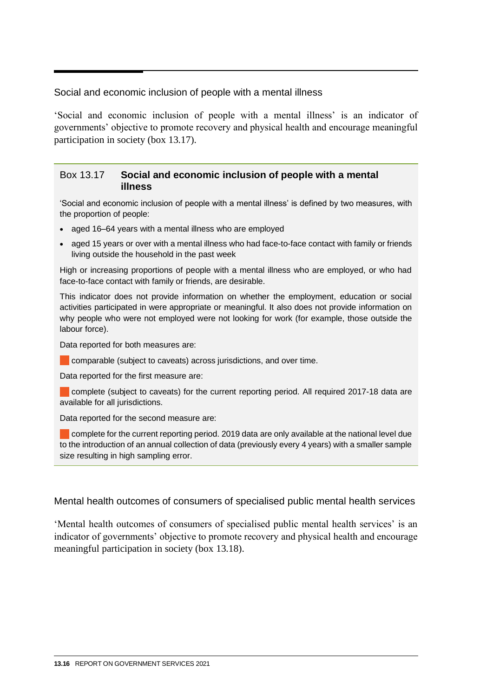<span id="page-15-0"></span>Social and economic inclusion of people with a mental illness

'Social and economic inclusion of people with a mental illness' is an indicator of governments' objective to promote recovery and physical health and encourage meaningful participation in society (box 13.17).

#### Box 13.17 **Social and economic inclusion of people with a mental illness**

'Social and economic inclusion of people with a mental illness' is defined by two measures, with the proportion of people:

- aged 16–64 years with a mental illness who are employed
- aged 15 years or over with a mental illness who had face-to-face contact with family or friends living outside the household in the past week

High or increasing proportions of people with a mental illness who are employed, or who had face-to-face contact with family or friends, are desirable.

This indicator does not provide information on whether the employment, education or social activities participated in were appropriate or meaningful. It also does not provide information on why people who were not employed were not looking for work (for example, those outside the labour force).

Data reported for both measures are:

**Comparable (subject to caveats) across jurisdictions, and over time.** 

Data reported for the first measure are:

complete (subject to caveats) for the current reporting period. All required 2017-18 data are available for all jurisdictions.

Data reported for the second measure are:

complete for the current reporting period. 2019 data are only available at the national level due to the introduction of an annual collection of data (previously every 4 years) with a smaller sample size resulting in high sampling error.

#### Mental health outcomes of consumers of specialised public mental health services

'Mental health outcomes of consumers of specialised public mental health services' is an indicator of governments' objective to promote recovery and physical health and encourage meaningful participation in society (box 13.18).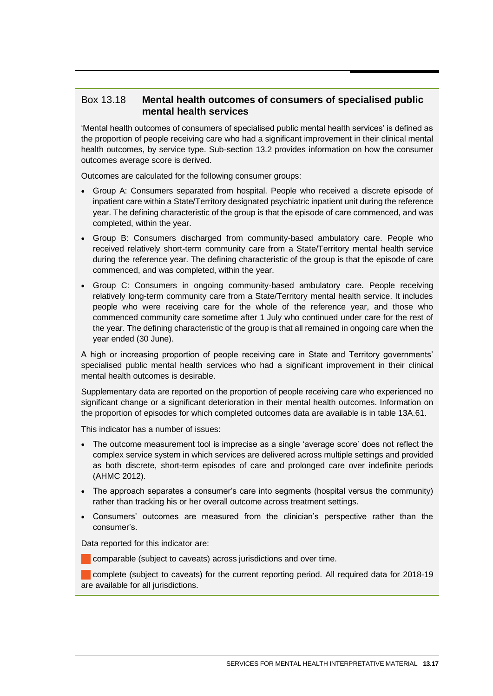# Box 13.18 **Mental health outcomes of consumers of specialised public mental health services**

'Mental health outcomes of consumers of specialised public mental health services' is defined as the proportion of people receiving care who had a significant improvement in their clinical mental health outcomes, by service type. Sub-section 13.2 provides information on how the consumer outcomes average score is derived.

Outcomes are calculated for the following consumer groups:

- Group A: Consumers separated from hospital. People who received a discrete episode of inpatient care within a State/Territory designated psychiatric inpatient unit during the reference year. The defining characteristic of the group is that the episode of care commenced, and was completed, within the year.
- Group B: Consumers discharged from community-based ambulatory care. People who received relatively short-term community care from a State/Territory mental health service during the reference year. The defining characteristic of the group is that the episode of care commenced, and was completed, within the year.
- Group C: Consumers in ongoing community-based ambulatory care. People receiving relatively long-term community care from a State/Territory mental health service. It includes people who were receiving care for the whole of the reference year, and those who commenced community care sometime after 1 July who continued under care for the rest of the year. The defining characteristic of the group is that all remained in ongoing care when the year ended (30 June).

A high or increasing proportion of people receiving care in State and Territory governments' specialised public mental health services who had a significant improvement in their clinical mental health outcomes is desirable.

Supplementary data are reported on the proportion of people receiving care who experienced no significant change or a significant deterioration in their mental health outcomes. Information on the proportion of episodes for which completed outcomes data are available is in table 13A.61.

This indicator has a number of issues:

- The outcome measurement tool is imprecise as a single 'average score' does not reflect the complex service system in which services are delivered across multiple settings and provided as both discrete, short-term episodes of care and prolonged care over indefinite periods (AHMC 2012).
- The approach separates a consumer's care into segments (hospital versus the community) rather than tracking his or her overall outcome across treatment settings.
- Consumers' outcomes are measured from the clinician's perspective rather than the consumer's.

Data reported for this indicator are:

**Comparable (subject to caveats) across jurisdictions and over time.** 

 complete (subject to caveats) for the current reporting period. All required data for 2018-19 are available for all jurisdictions.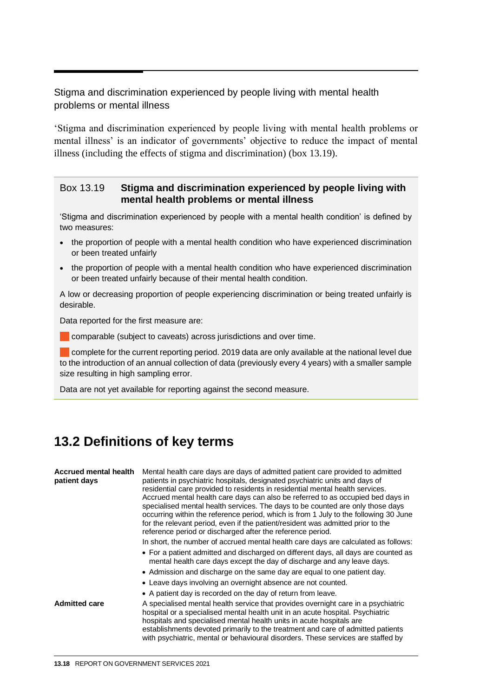# <span id="page-17-0"></span>Stigma and discrimination experienced by people living with mental health problems or mental illness

'Stigma and discrimination experienced by people living with mental health problems or mental illness' is an indicator of governments' objective to reduce the impact of mental illness (including the effects of stigma and discrimination) (box 13.19).

#### Box 13.19 **Stigma and discrimination experienced by people living with mental health problems or mental illness**

'Stigma and discrimination experienced by people with a mental health condition' is defined by two measures:

- the proportion of people with a mental health condition who have experienced discrimination or been treated unfairly
- the proportion of people with a mental health condition who have experienced discrimination or been treated unfairly because of their mental health condition.

A low or decreasing proportion of people experiencing discrimination or being treated unfairly is desirable.

Data reported for the first measure are:

comparable (subject to caveats) across jurisdictions and over time.

complete for the current reporting period. 2019 data are only available at the national level due to the introduction of an annual collection of data (previously every 4 years) with a smaller sample size resulting in high sampling error.

Data are not yet available for reporting against the second measure.

# **13.2 Definitions of key terms**

| Accrued mental health<br>patient days | Mental health care days are days of admitted patient care provided to admitted<br>patients in psychiatric hospitals, designated psychiatric units and days of<br>residential care provided to residents in residential mental health services.<br>Accrued mental health care days can also be referred to as occupied bed days in<br>specialised mental health services. The days to be counted are only those days<br>occurring within the reference period, which is from 1 July to the following 30 June<br>for the relevant period, even if the patient/resident was admitted prior to the<br>reference period or discharged after the reference period. |
|---------------------------------------|--------------------------------------------------------------------------------------------------------------------------------------------------------------------------------------------------------------------------------------------------------------------------------------------------------------------------------------------------------------------------------------------------------------------------------------------------------------------------------------------------------------------------------------------------------------------------------------------------------------------------------------------------------------|
|                                       | In short, the number of accrued mental health care days are calculated as follows:                                                                                                                                                                                                                                                                                                                                                                                                                                                                                                                                                                           |
|                                       | • For a patient admitted and discharged on different days, all days are counted as<br>mental health care days except the day of discharge and any leave days.                                                                                                                                                                                                                                                                                                                                                                                                                                                                                                |
|                                       | • Admission and discharge on the same day are equal to one patient day.                                                                                                                                                                                                                                                                                                                                                                                                                                                                                                                                                                                      |
|                                       | • Leave days involving an overnight absence are not counted.                                                                                                                                                                                                                                                                                                                                                                                                                                                                                                                                                                                                 |
|                                       | • A patient day is recorded on the day of return from leave.                                                                                                                                                                                                                                                                                                                                                                                                                                                                                                                                                                                                 |
| Admitted care                         | A specialised mental health service that provides overnight care in a psychiatric<br>hospital or a specialised mental health unit in an acute hospital. Psychiatric<br>hospitals and specialised mental health units in acute hospitals are<br>establishments devoted primarily to the treatment and care of admitted patients<br>with psychiatric, mental or behavioural disorders. These services are staffed by                                                                                                                                                                                                                                           |
|                                       |                                                                                                                                                                                                                                                                                                                                                                                                                                                                                                                                                                                                                                                              |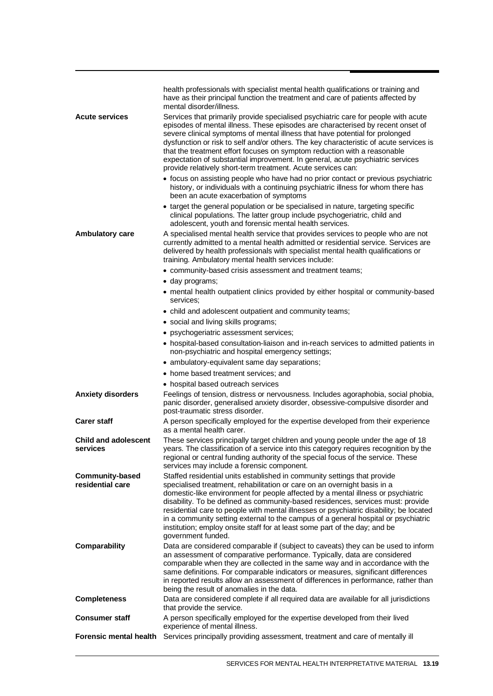| <b>Acute services</b>                      | health professionals with specialist mental health qualifications or training and<br>have as their principal function the treatment and care of patients affected by<br>mental disorder/illness.<br>Services that primarily provide specialised psychiatric care for people with acute<br>episodes of mental illness. These episodes are characterised by recent onset of<br>severe clinical symptoms of mental illness that have potential for prolonged<br>dysfunction or risk to self and/or others. The key characteristic of acute services is<br>that the treatment effort focuses on symptom reduction with a reasonable<br>expectation of substantial improvement. In general, acute psychiatric services<br>provide relatively short-term treatment. Acute services can: |
|--------------------------------------------|-----------------------------------------------------------------------------------------------------------------------------------------------------------------------------------------------------------------------------------------------------------------------------------------------------------------------------------------------------------------------------------------------------------------------------------------------------------------------------------------------------------------------------------------------------------------------------------------------------------------------------------------------------------------------------------------------------------------------------------------------------------------------------------|
|                                            | • focus on assisting people who have had no prior contact or previous psychiatric<br>history, or individuals with a continuing psychiatric illness for whom there has<br>been an acute exacerbation of symptoms<br>• target the general population or be specialised in nature, targeting specific                                                                                                                                                                                                                                                                                                                                                                                                                                                                                |
| Ambulatory care                            | clinical populations. The latter group include psychogeriatric, child and<br>adolescent, youth and forensic mental health services.<br>A specialised mental health service that provides services to people who are not<br>currently admitted to a mental health admitted or residential service. Services are<br>delivered by health professionals with specialist mental health qualifications or<br>training. Ambulatory mental health services include:                                                                                                                                                                                                                                                                                                                       |
|                                            | • community-based crisis assessment and treatment teams;                                                                                                                                                                                                                                                                                                                                                                                                                                                                                                                                                                                                                                                                                                                          |
|                                            | · day programs;                                                                                                                                                                                                                                                                                                                                                                                                                                                                                                                                                                                                                                                                                                                                                                   |
|                                            | • mental health outpatient clinics provided by either hospital or community-based<br>services:                                                                                                                                                                                                                                                                                                                                                                                                                                                                                                                                                                                                                                                                                    |
|                                            | • child and adolescent outpatient and community teams;                                                                                                                                                                                                                                                                                                                                                                                                                                                                                                                                                                                                                                                                                                                            |
|                                            | • social and living skills programs;                                                                                                                                                                                                                                                                                                                                                                                                                                                                                                                                                                                                                                                                                                                                              |
|                                            | • psychogeriatric assessment services;                                                                                                                                                                                                                                                                                                                                                                                                                                                                                                                                                                                                                                                                                                                                            |
|                                            | • hospital-based consultation-liaison and in-reach services to admitted patients in<br>non-psychiatric and hospital emergency settings;                                                                                                                                                                                                                                                                                                                                                                                                                                                                                                                                                                                                                                           |
|                                            | • ambulatory-equivalent same day separations;                                                                                                                                                                                                                                                                                                                                                                                                                                                                                                                                                                                                                                                                                                                                     |
|                                            | • home based treatment services; and                                                                                                                                                                                                                                                                                                                                                                                                                                                                                                                                                                                                                                                                                                                                              |
|                                            | • hospital based outreach services                                                                                                                                                                                                                                                                                                                                                                                                                                                                                                                                                                                                                                                                                                                                                |
| <b>Anxiety disorders</b>                   | Feelings of tension, distress or nervousness. Includes agoraphobia, social phobia,<br>panic disorder, generalised anxiety disorder, obsessive-compulsive disorder and<br>post-traumatic stress disorder.                                                                                                                                                                                                                                                                                                                                                                                                                                                                                                                                                                          |
| <b>Carer staff</b>                         | A person specifically employed for the expertise developed from their experience<br>as a mental health carer.                                                                                                                                                                                                                                                                                                                                                                                                                                                                                                                                                                                                                                                                     |
| <b>Child and adolescent</b><br>services    | These services principally target children and young people under the age of 18<br>years. The classification of a service into this category requires recognition by the<br>regional or central funding authority of the special focus of the service. These<br>services may include a forensic component.                                                                                                                                                                                                                                                                                                                                                                                                                                                                        |
| <b>Community-based</b><br>residential care | Staffed residential units established in community settings that provide<br>specialised treatment, rehabilitation or care on an overnight basis in a<br>domestic-like environment for people affected by a mental illness or psychiatric<br>disability. To be defined as community-based residences, services must: provide<br>residential care to people with mental illnesses or psychiatric disability; be located<br>in a community setting external to the campus of a general hospital or psychiatric<br>institution; employ onsite staff for at least some part of the day; and be<br>government funded.                                                                                                                                                                   |
| Comparability                              | Data are considered comparable if (subject to caveats) they can be used to inform<br>an assessment of comparative performance. Typically, data are considered<br>comparable when they are collected in the same way and in accordance with the<br>same definitions. For comparable indicators or measures, significant differences<br>in reported results allow an assessment of differences in performance, rather than<br>being the result of anomalies in the data.                                                                                                                                                                                                                                                                                                            |
| <b>Completeness</b>                        | Data are considered complete if all required data are available for all jurisdictions<br>that provide the service.                                                                                                                                                                                                                                                                                                                                                                                                                                                                                                                                                                                                                                                                |
| <b>Consumer staff</b>                      | A person specifically employed for the expertise developed from their lived<br>experience of mental illness.                                                                                                                                                                                                                                                                                                                                                                                                                                                                                                                                                                                                                                                                      |
| Forensic mental health                     | Services principally providing assessment, treatment and care of mentally ill                                                                                                                                                                                                                                                                                                                                                                                                                                                                                                                                                                                                                                                                                                     |
|                                            |                                                                                                                                                                                                                                                                                                                                                                                                                                                                                                                                                                                                                                                                                                                                                                                   |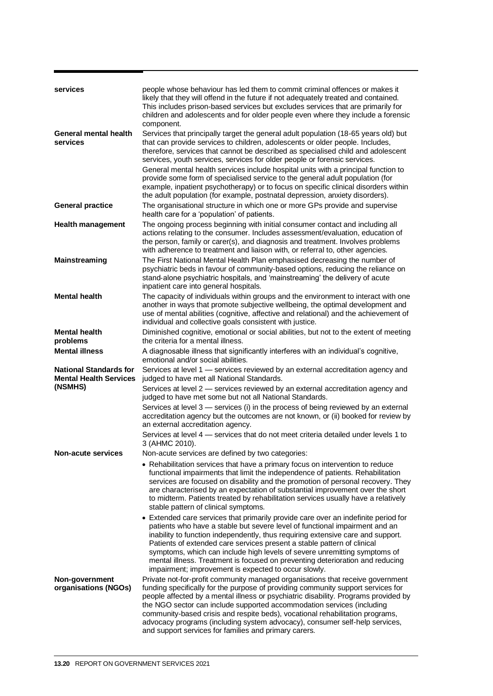| services                                                       | people whose behaviour has led them to commit criminal offences or makes it                                                                                                                                                                                                                                                                                                                                                                                                                                                                                  |
|----------------------------------------------------------------|--------------------------------------------------------------------------------------------------------------------------------------------------------------------------------------------------------------------------------------------------------------------------------------------------------------------------------------------------------------------------------------------------------------------------------------------------------------------------------------------------------------------------------------------------------------|
|                                                                | likely that they will offend in the future if not adequately treated and contained.<br>This includes prison-based services but excludes services that are primarily for<br>children and adolescents and for older people even where they include a forensic<br>component.                                                                                                                                                                                                                                                                                    |
| <b>General mental health</b><br>services                       | Services that principally target the general adult population (18-65 years old) but<br>that can provide services to children, adolescents or older people. Includes,<br>therefore, services that cannot be described as specialised child and adolescent<br>services, youth services, services for older people or forensic services.                                                                                                                                                                                                                        |
|                                                                | General mental health services include hospital units with a principal function to<br>provide some form of specialised service to the general adult population (for<br>example, inpatient psychotherapy) or to focus on specific clinical disorders within<br>the adult population (for example, postnatal depression, anxiety disorders).                                                                                                                                                                                                                   |
| <b>General practice</b>                                        | The organisational structure in which one or more GPs provide and supervise<br>health care for a 'population' of patients.                                                                                                                                                                                                                                                                                                                                                                                                                                   |
| <b>Health management</b>                                       | The ongoing process beginning with initial consumer contact and including all<br>actions relating to the consumer. Includes assessment/evaluation, education of<br>the person, family or carer(s), and diagnosis and treatment. Involves problems<br>with adherence to treatment and liaison with, or referral to, other agencies.                                                                                                                                                                                                                           |
| Mainstreaming                                                  | The First National Mental Health Plan emphasised decreasing the number of<br>psychiatric beds in favour of community-based options, reducing the reliance on<br>stand-alone psychiatric hospitals, and 'mainstreaming' the delivery of acute<br>inpatient care into general hospitals.                                                                                                                                                                                                                                                                       |
| <b>Mental health</b>                                           | The capacity of individuals within groups and the environment to interact with one<br>another in ways that promote subjective wellbeing, the optimal development and<br>use of mental abilities (cognitive, affective and relational) and the achievement of<br>individual and collective goals consistent with justice.                                                                                                                                                                                                                                     |
| <b>Mental health</b>                                           | Diminished cognitive, emotional or social abilities, but not to the extent of meeting                                                                                                                                                                                                                                                                                                                                                                                                                                                                        |
| problems<br><b>Mental illness</b>                              | the criteria for a mental illness.<br>A diagnosable illness that significantly interferes with an individual's cognitive,                                                                                                                                                                                                                                                                                                                                                                                                                                    |
|                                                                | emotional and/or social abilities.                                                                                                                                                                                                                                                                                                                                                                                                                                                                                                                           |
| <b>National Standards for</b><br><b>Mental Health Services</b> | Services at level 1 - services reviewed by an external accreditation agency and<br>judged to have met all National Standards.                                                                                                                                                                                                                                                                                                                                                                                                                                |
| (NSMHS)                                                        | Services at level 2 - services reviewed by an external accreditation agency and<br>judged to have met some but not all National Standards.                                                                                                                                                                                                                                                                                                                                                                                                                   |
|                                                                | Services at level 3 - services (i) in the process of being reviewed by an external<br>accreditation agency but the outcomes are not known, or (ii) booked for review by<br>an external accreditation agency.                                                                                                                                                                                                                                                                                                                                                 |
|                                                                | Services at level 4 – services that do not meet criteria detailed under levels 1 to<br>3 (AHMC 2010).                                                                                                                                                                                                                                                                                                                                                                                                                                                        |
| <b>Non-acute services</b>                                      | Non-acute services are defined by two categories:                                                                                                                                                                                                                                                                                                                                                                                                                                                                                                            |
|                                                                | • Rehabilitation services that have a primary focus on intervention to reduce<br>functional impairments that limit the independence of patients. Rehabilitation<br>services are focused on disability and the promotion of personal recovery. They<br>are characterised by an expectation of substantial improvement over the short<br>to midterm. Patients treated by rehabilitation services usually have a relatively<br>stable pattern of clinical symptoms.                                                                                             |
|                                                                | • Extended care services that primarily provide care over an indefinite period for<br>patients who have a stable but severe level of functional impairment and an<br>inability to function independently, thus requiring extensive care and support.<br>Patients of extended care services present a stable pattern of clinical<br>symptoms, which can include high levels of severe unremitting symptoms of<br>mental illness. Treatment is focused on preventing deterioration and reducing<br>impairment; improvement is expected to occur slowly.        |
| Non-government<br>organisations (NGOs)                         | Private not-for-profit community managed organisations that receive government<br>funding specifically for the purpose of providing community support services for<br>people affected by a mental illness or psychiatric disability. Programs provided by<br>the NGO sector can include supported accommodation services (including<br>community-based crisis and respite beds), vocational rehabilitation programs,<br>advocacy programs (including system advocacy), consumer self-help services,<br>and support services for families and primary carers. |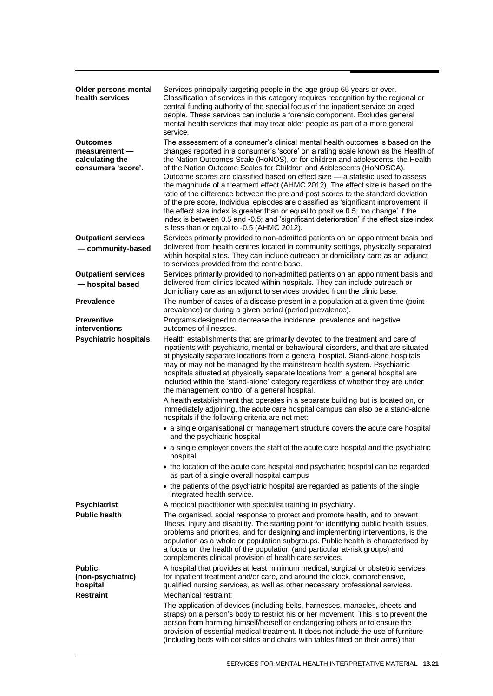| Older persons mental<br>health services                                   | Services principally targeting people in the age group 65 years or over.<br>Classification of services in this category requires recognition by the regional or<br>central funding authority of the special focus of the inpatient service on aged<br>people. These services can include a forensic component. Excludes general<br>mental health services that may treat older people as part of a more general<br>service.                                                                                                                                                                                                                                                                                                                                                                                                                                                                                      |
|---------------------------------------------------------------------------|------------------------------------------------------------------------------------------------------------------------------------------------------------------------------------------------------------------------------------------------------------------------------------------------------------------------------------------------------------------------------------------------------------------------------------------------------------------------------------------------------------------------------------------------------------------------------------------------------------------------------------------------------------------------------------------------------------------------------------------------------------------------------------------------------------------------------------------------------------------------------------------------------------------|
| <b>Outcomes</b><br>measurement -<br>calculating the<br>consumers 'score'. | The assessment of a consumer's clinical mental health outcomes is based on the<br>changes reported in a consumer's 'score' on a rating scale known as the Health of<br>the Nation Outcomes Scale (HoNOS), or for children and adolescents, the Health<br>of the Nation Outcome Scales for Children and Adolescents (HoNOSCA).<br>Outcome scores are classified based on effect size - a statistic used to assess<br>the magnitude of a treatment effect (AHMC 2012). The effect size is based on the<br>ratio of the difference between the pre and post scores to the standard deviation<br>of the pre score. Individual episodes are classified as 'significant improvement' if<br>the effect size index is greater than or equal to positive 0.5; 'no change' if the<br>index is between 0.5 and -0.5; and 'significant deterioration' if the effect size index<br>is less than or equal to -0.5 (AHMC 2012). |
| <b>Outpatient services</b><br>- community-based                           | Services primarily provided to non-admitted patients on an appointment basis and<br>delivered from health centres located in community settings, physically separated<br>within hospital sites. They can include outreach or domiciliary care as an adjunct<br>to services provided from the centre base.                                                                                                                                                                                                                                                                                                                                                                                                                                                                                                                                                                                                        |
| <b>Outpatient services</b><br>- hospital based                            | Services primarily provided to non-admitted patients on an appointment basis and<br>delivered from clinics located within hospitals. They can include outreach or<br>domiciliary care as an adjunct to services provided from the clinic base.                                                                                                                                                                                                                                                                                                                                                                                                                                                                                                                                                                                                                                                                   |
| <b>Prevalence</b>                                                         | The number of cases of a disease present in a population at a given time (point<br>prevalence) or during a given period (period prevalence).                                                                                                                                                                                                                                                                                                                                                                                                                                                                                                                                                                                                                                                                                                                                                                     |
| <b>Preventive</b><br>interventions                                        | Programs designed to decrease the incidence, prevalence and negative<br>outcomes of illnesses.                                                                                                                                                                                                                                                                                                                                                                                                                                                                                                                                                                                                                                                                                                                                                                                                                   |
| <b>Psychiatric hospitals</b>                                              | Health establishments that are primarily devoted to the treatment and care of<br>inpatients with psychiatric, mental or behavioural disorders, and that are situated<br>at physically separate locations from a general hospital. Stand-alone hospitals<br>may or may not be managed by the mainstream health system. Psychiatric<br>hospitals situated at physically separate locations from a general hospital are<br>included within the 'stand-alone' category regardless of whether they are under<br>the management control of a general hospital.                                                                                                                                                                                                                                                                                                                                                         |
|                                                                           | A health establishment that operates in a separate building but is located on, or<br>immediately adjoining, the acute care hospital campus can also be a stand-alone<br>hospitals if the following criteria are not met:                                                                                                                                                                                                                                                                                                                                                                                                                                                                                                                                                                                                                                                                                         |
|                                                                           | • a single organisational or management structure covers the acute care hospital<br>and the psychiatric hospital                                                                                                                                                                                                                                                                                                                                                                                                                                                                                                                                                                                                                                                                                                                                                                                                 |
|                                                                           | • a single employer covers the staff of the acute care hospital and the psychiatric<br>hospital                                                                                                                                                                                                                                                                                                                                                                                                                                                                                                                                                                                                                                                                                                                                                                                                                  |
|                                                                           | • the location of the acute care hospital and psychiatric hospital can be regarded<br>as part of a single overall hospital campus                                                                                                                                                                                                                                                                                                                                                                                                                                                                                                                                                                                                                                                                                                                                                                                |
|                                                                           | • the patients of the psychiatric hospital are regarded as patients of the single<br>integrated health service.                                                                                                                                                                                                                                                                                                                                                                                                                                                                                                                                                                                                                                                                                                                                                                                                  |
| <b>Psychiatrist</b>                                                       | A medical practitioner with specialist training in psychiatry.                                                                                                                                                                                                                                                                                                                                                                                                                                                                                                                                                                                                                                                                                                                                                                                                                                                   |
| <b>Public health</b>                                                      | The organised, social response to protect and promote health, and to prevent<br>illness, injury and disability. The starting point for identifying public health issues,<br>problems and priorities, and for designing and implementing interventions, is the<br>population as a whole or population subgroups. Public health is characterised by<br>a focus on the health of the population (and particular at-risk groups) and<br>complements clinical provision of health care services.                                                                                                                                                                                                                                                                                                                                                                                                                      |
| <b>Public</b><br>(non-psychiatric)<br>hospital                            | A hospital that provides at least minimum medical, surgical or obstetric services<br>for inpatient treatment and/or care, and around the clock, comprehensive,<br>qualified nursing services, as well as other necessary professional services.                                                                                                                                                                                                                                                                                                                                                                                                                                                                                                                                                                                                                                                                  |
| <b>Restraint</b>                                                          | Mechanical restraint:<br>The application of devices (including belts, harnesses, manacles, sheets and<br>straps) on a person's body to restrict his or her movement. This is to prevent the<br>person from harming himself/herself or endangering others or to ensure the<br>provision of essential medical treatment. It does not include the use of furniture<br>(including beds with cot sides and chairs with tables fitted on their arms) that                                                                                                                                                                                                                                                                                                                                                                                                                                                              |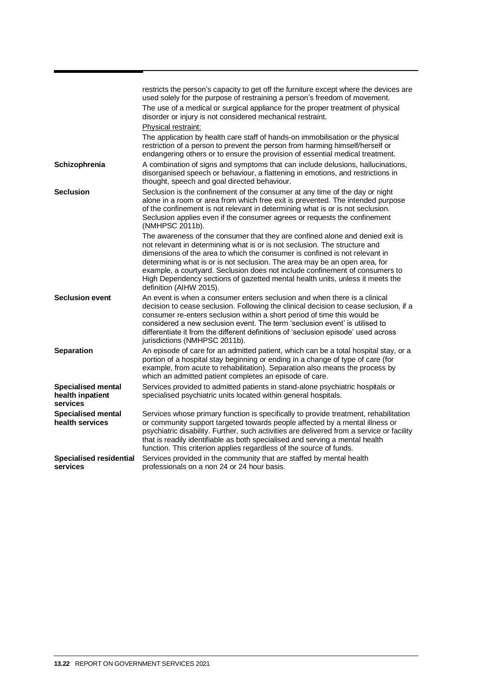|                                                           | restricts the person's capacity to get off the furniture except where the devices are<br>used solely for the purpose of restraining a person's freedom of movement.<br>The use of a medical or surgical appliance for the proper treatment of physical<br>disorder or injury is not considered mechanical restraint.<br>Physical restraint:                                                                                                                                                                          |
|-----------------------------------------------------------|----------------------------------------------------------------------------------------------------------------------------------------------------------------------------------------------------------------------------------------------------------------------------------------------------------------------------------------------------------------------------------------------------------------------------------------------------------------------------------------------------------------------|
|                                                           | The application by health care staff of hands-on immobilisation or the physical<br>restriction of a person to prevent the person from harming himself/herself or<br>endangering others or to ensure the provision of essential medical treatment.                                                                                                                                                                                                                                                                    |
| Schizophrenia                                             | A combination of signs and symptoms that can include delusions, hallucinations,<br>disorganised speech or behaviour, a flattening in emotions, and restrictions in<br>thought, speech and goal directed behaviour.                                                                                                                                                                                                                                                                                                   |
| <b>Seclusion</b>                                          | Seclusion is the confinement of the consumer at any time of the day or night<br>alone in a room or area from which free exit is prevented. The intended purpose<br>of the confinement is not relevant in determining what is or is not seclusion.<br>Seclusion applies even if the consumer agrees or requests the confinement<br>(NMHPSC 2011b).                                                                                                                                                                    |
|                                                           | The awareness of the consumer that they are confined alone and denied exit is<br>not relevant in determining what is or is not seclusion. The structure and<br>dimensions of the area to which the consumer is confined is not relevant in<br>determining what is or is not seclusion. The area may be an open area, for<br>example, a courtyard. Seclusion does not include confinement of consumers to<br>High Dependency sections of gazetted mental health units, unless it meets the<br>definition (AIHW 2015). |
| <b>Seclusion event</b>                                    | An event is when a consumer enters seclusion and when there is a clinical<br>decision to cease seclusion. Following the clinical decision to cease seclusion, if a<br>consumer re-enters seclusion within a short period of time this would be<br>considered a new seclusion event. The term 'seclusion event' is utilised to<br>differentiate it from the different definitions of 'seclusion episode' used across<br>jurisdictions (NMHPSC 2011b).                                                                 |
| <b>Separation</b>                                         | An episode of care for an admitted patient, which can be a total hospital stay, or a<br>portion of a hospital stay beginning or ending in a change of type of care (for<br>example, from acute to rehabilitation). Separation also means the process by<br>which an admitted patient completes an episode of care.                                                                                                                                                                                                   |
| <b>Specialised mental</b><br>health inpatient<br>services | Services provided to admitted patients in stand-alone psychiatric hospitals or<br>specialised psychiatric units located within general hospitals.                                                                                                                                                                                                                                                                                                                                                                    |
| <b>Specialised mental</b><br>health services              | Services whose primary function is specifically to provide treatment, rehabilitation<br>or community support targeted towards people affected by a mental illness or<br>psychiatric disability. Further, such activities are delivered from a service or facility<br>that is readily identifiable as both specialised and serving a mental health<br>function. This criterion applies regardless of the source of funds.                                                                                             |
| <b>Specialised residential</b><br>services                | Services provided in the community that are staffed by mental health<br>professionals on a non 24 or 24 hour basis.                                                                                                                                                                                                                                                                                                                                                                                                  |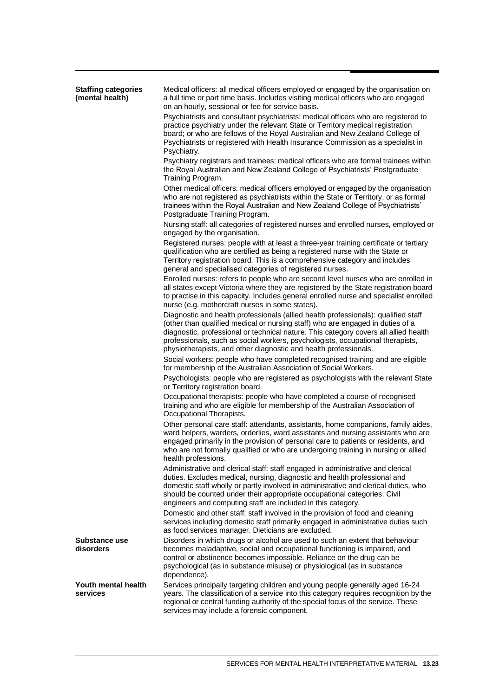| <b>Staffing categories</b><br>(mental health) | Medical officers: all medical officers employed or engaged by the organisation on<br>a full time or part time basis. Includes visiting medical officers who are engaged<br>on an hourly, sessional or fee for service basis.                                                                                                                                                                                       |
|-----------------------------------------------|--------------------------------------------------------------------------------------------------------------------------------------------------------------------------------------------------------------------------------------------------------------------------------------------------------------------------------------------------------------------------------------------------------------------|
|                                               | Psychiatrists and consultant psychiatrists: medical officers who are registered to<br>practice psychiatry under the relevant State or Territory medical registration<br>board; or who are fellows of the Royal Australian and New Zealand College of<br>Psychiatrists or registered with Health Insurance Commission as a specialist in<br>Psychiatry.                                                             |
|                                               | Psychiatry registrars and trainees: medical officers who are formal trainees within<br>the Royal Australian and New Zealand College of Psychiatrists' Postgraduate<br>Training Program.                                                                                                                                                                                                                            |
|                                               | Other medical officers: medical officers employed or engaged by the organisation<br>who are not registered as psychiatrists within the State or Territory, or as formal<br>trainees within the Royal Australian and New Zealand College of Psychiatrists'<br>Postgraduate Training Program.                                                                                                                        |
|                                               | Nursing staff: all categories of registered nurses and enrolled nurses, employed or<br>engaged by the organisation.                                                                                                                                                                                                                                                                                                |
|                                               | Registered nurses: people with at least a three-year training certificate or tertiary<br>qualification who are certified as being a registered nurse with the State or<br>Territory registration board. This is a comprehensive category and includes<br>general and specialised categories of registered nurses.                                                                                                  |
|                                               | Enrolled nurses: refers to people who are second level nurses who are enrolled in<br>all states except Victoria where they are registered by the State registration board<br>to practise in this capacity. Includes general enrolled nurse and specialist enrolled<br>nurse (e.g. mothercraft nurses in some states).                                                                                              |
|                                               | Diagnostic and health professionals (allied health professionals): qualified staff<br>(other than qualified medical or nursing staff) who are engaged in duties of a<br>diagnostic, professional or technical nature. This category covers all allied health<br>professionals, such as social workers, psychologists, occupational therapists,<br>physiotherapists, and other diagnostic and health professionals. |
|                                               | Social workers: people who have completed recognised training and are eligible<br>for membership of the Australian Association of Social Workers.                                                                                                                                                                                                                                                                  |
|                                               | Psychologists: people who are registered as psychologists with the relevant State<br>or Territory registration board.                                                                                                                                                                                                                                                                                              |
|                                               | Occupational therapists: people who have completed a course of recognised<br>training and who are eligible for membership of the Australian Association of<br>Occupational Therapists.                                                                                                                                                                                                                             |
|                                               | Other personal care staff: attendants, assistants, home companions, family aides,<br>ward helpers, warders, orderlies, ward assistants and nursing assistants who are<br>engaged primarily in the provision of personal care to patients or residents, and<br>who are not formally qualified or who are undergoing training in nursing or allied<br>health professions.                                            |
|                                               | Administrative and clerical staff: staff engaged in administrative and clerical<br>duties. Excludes medical, nursing, diagnostic and health professional and<br>domestic staff wholly or partly involved in administrative and clerical duties, who<br>should be counted under their appropriate occupational categories. Civil<br>engineers and computing staff are included in this category.                    |
|                                               | Domestic and other staff: staff involved in the provision of food and cleaning<br>services including domestic staff primarily engaged in administrative duties such<br>as food services manager. Dieticians are excluded.                                                                                                                                                                                          |
| Substance use<br>disorders                    | Disorders in which drugs or alcohol are used to such an extent that behaviour<br>becomes maladaptive, social and occupational functioning is impaired, and<br>control or abstinence becomes impossible. Reliance on the drug can be<br>psychological (as in substance misuse) or physiological (as in substance<br>dependence).                                                                                    |
| Youth mental health<br>services               | Services principally targeting children and young people generally aged 16-24<br>years. The classification of a service into this category requires recognition by the<br>regional or central funding authority of the special focus of the service. These<br>services may include a forensic component.                                                                                                           |